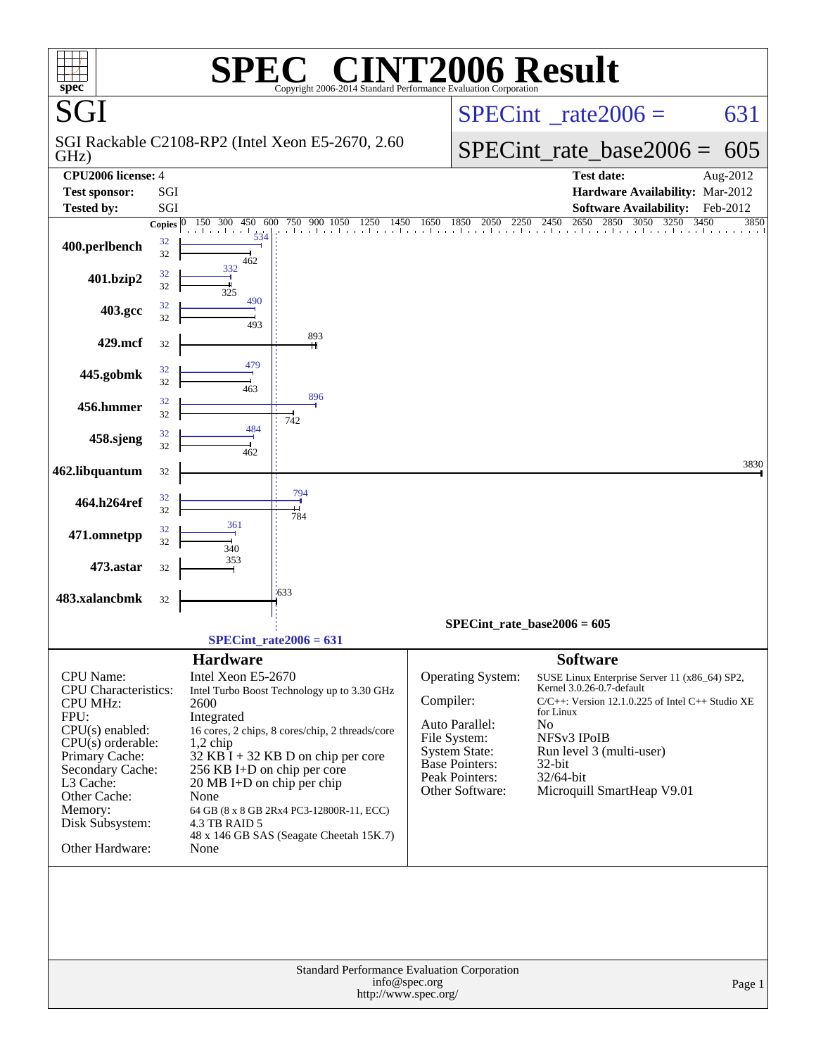| spec <sup>®</sup>                                                                                                                                                                                                                          |              | $\blacksquare$<br>Copyright 2006-2014                                                                                                                                                                                                                                                                                                                                                                    |                                       | Standard Performance Evaluation Corporation                                                                                               | <b>NT2006 Result</b>                                                                                                                                                                                                                                                      |          |
|--------------------------------------------------------------------------------------------------------------------------------------------------------------------------------------------------------------------------------------------|--------------|----------------------------------------------------------------------------------------------------------------------------------------------------------------------------------------------------------------------------------------------------------------------------------------------------------------------------------------------------------------------------------------------------------|---------------------------------------|-------------------------------------------------------------------------------------------------------------------------------------------|---------------------------------------------------------------------------------------------------------------------------------------------------------------------------------------------------------------------------------------------------------------------------|----------|
| SGI                                                                                                                                                                                                                                        |              |                                                                                                                                                                                                                                                                                                                                                                                                          |                                       |                                                                                                                                           | $SPECint^{\circ}$ _rate2006 =                                                                                                                                                                                                                                             | 631      |
| GHz)                                                                                                                                                                                                                                       |              | SGI Rackable C2108-RP2 (Intel Xeon E5-2670, 2.60                                                                                                                                                                                                                                                                                                                                                         |                                       | $SPECint_rate_base2006 =$                                                                                                                 | 605                                                                                                                                                                                                                                                                       |          |
| CPU <sub>2006</sub> license: 4                                                                                                                                                                                                             |              |                                                                                                                                                                                                                                                                                                                                                                                                          |                                       |                                                                                                                                           | <b>Test date:</b>                                                                                                                                                                                                                                                         | Aug-2012 |
| <b>Test sponsor:</b><br><b>Tested by:</b>                                                                                                                                                                                                  | SGI<br>SGI   |                                                                                                                                                                                                                                                                                                                                                                                                          |                                       |                                                                                                                                           | Hardware Availability: Mar-2012<br><b>Software Availability:</b>                                                                                                                                                                                                          | Feb-2012 |
|                                                                                                                                                                                                                                            | Copies $ 0 $ | 750<br>900<br>1050<br>1250<br>300<br>450<br>600<br>150                                                                                                                                                                                                                                                                                                                                                   | 1450<br>1650                          | 2250<br>1850<br>2050                                                                                                                      | 2650<br>2850<br>3050<br>2450<br>3250<br>3450                                                                                                                                                                                                                              | 3850     |
| 400.perlbench                                                                                                                                                                                                                              | 32<br>32     | 534<br>462                                                                                                                                                                                                                                                                                                                                                                                               |                                       |                                                                                                                                           |                                                                                                                                                                                                                                                                           |          |
| 401.bzip2                                                                                                                                                                                                                                  | 32<br>32     | 332<br>325                                                                                                                                                                                                                                                                                                                                                                                               |                                       |                                                                                                                                           |                                                                                                                                                                                                                                                                           |          |
| 403.gcc                                                                                                                                                                                                                                    | 32<br>32     | 490<br>493                                                                                                                                                                                                                                                                                                                                                                                               |                                       |                                                                                                                                           |                                                                                                                                                                                                                                                                           |          |
| 429.mcf                                                                                                                                                                                                                                    | 32           | 893                                                                                                                                                                                                                                                                                                                                                                                                      |                                       |                                                                                                                                           |                                                                                                                                                                                                                                                                           |          |
| 445.gobmk                                                                                                                                                                                                                                  | 32<br>32     | 479<br>463                                                                                                                                                                                                                                                                                                                                                                                               |                                       |                                                                                                                                           |                                                                                                                                                                                                                                                                           |          |
| 456.hmmer                                                                                                                                                                                                                                  | 32<br>32     | 896<br>742                                                                                                                                                                                                                                                                                                                                                                                               |                                       |                                                                                                                                           |                                                                                                                                                                                                                                                                           |          |
| 458.sjeng                                                                                                                                                                                                                                  | 32<br>32     | 484<br>462                                                                                                                                                                                                                                                                                                                                                                                               |                                       |                                                                                                                                           |                                                                                                                                                                                                                                                                           |          |
| 462.libquantum                                                                                                                                                                                                                             | 32           |                                                                                                                                                                                                                                                                                                                                                                                                          |                                       |                                                                                                                                           |                                                                                                                                                                                                                                                                           | 3830     |
| 464.h264ref                                                                                                                                                                                                                                | 32<br>32     | 794<br>784                                                                                                                                                                                                                                                                                                                                                                                               |                                       |                                                                                                                                           |                                                                                                                                                                                                                                                                           |          |
| 471.omnetpp                                                                                                                                                                                                                                | 32<br>32     | 361<br>340                                                                                                                                                                                                                                                                                                                                                                                               |                                       |                                                                                                                                           |                                                                                                                                                                                                                                                                           |          |
| 473.astar                                                                                                                                                                                                                                  | 32           | 353                                                                                                                                                                                                                                                                                                                                                                                                      |                                       |                                                                                                                                           |                                                                                                                                                                                                                                                                           |          |
| 483.xalancbmk                                                                                                                                                                                                                              | 32           | $-633$                                                                                                                                                                                                                                                                                                                                                                                                   |                                       |                                                                                                                                           |                                                                                                                                                                                                                                                                           |          |
|                                                                                                                                                                                                                                            |              |                                                                                                                                                                                                                                                                                                                                                                                                          |                                       |                                                                                                                                           | $SPECint_rate_base2006 = 605$                                                                                                                                                                                                                                             |          |
|                                                                                                                                                                                                                                            |              | $SPECint_rate2006 = 631$                                                                                                                                                                                                                                                                                                                                                                                 |                                       |                                                                                                                                           |                                                                                                                                                                                                                                                                           |          |
| <b>CPU</b> Name:<br><b>CPU</b> Characteristics:<br><b>CPU MHz:</b><br>FPU:<br>$CPU(s)$ enabled:<br>$CPU(s)$ orderable:<br>Primary Cache:<br>Secondary Cache:<br>L3 Cache:<br>Other Cache:<br>Memory:<br>Disk Subsystem:<br>Other Hardware: |              | <b>Hardware</b><br>Intel Xeon E5-2670<br>Intel Turbo Boost Technology up to 3.30 GHz<br>2600<br>Integrated<br>16 cores, 2 chips, 8 cores/chip, 2 threads/core<br>$1,2$ chip<br>$32$ KB I + 32 KB D on chip per core<br>256 KB I+D on chip per core<br>20 MB I+D on chip per chip<br>None<br>64 GB (8 x 8 GB 2Rx4 PC3-12800R-11, ECC)<br>4.3 TB RAID 5<br>48 x 146 GB SAS (Seagate Cheetah 15K.7)<br>None | Compiler:                             | Operating System:<br>Auto Parallel:<br>File System:<br><b>System State:</b><br><b>Base Pointers:</b><br>Peak Pointers:<br>Other Software: | <b>Software</b><br>SUSE Linux Enterprise Server 11 (x86_64) SP2,<br>Kernel 3.0.26-0.7-default<br>$C/C++$ : Version 12.1.0.225 of Intel $C++$ Studio XE<br>for Linux<br>No<br>NFSv3 IPoIB<br>Run level 3 (multi-user)<br>32-bit<br>32/64-bit<br>Microquill SmartHeap V9.01 |          |
|                                                                                                                                                                                                                                            |              | Standard Performance Evaluation Corporation                                                                                                                                                                                                                                                                                                                                                              | info@spec.org<br>http://www.spec.org/ |                                                                                                                                           |                                                                                                                                                                                                                                                                           | Page 1   |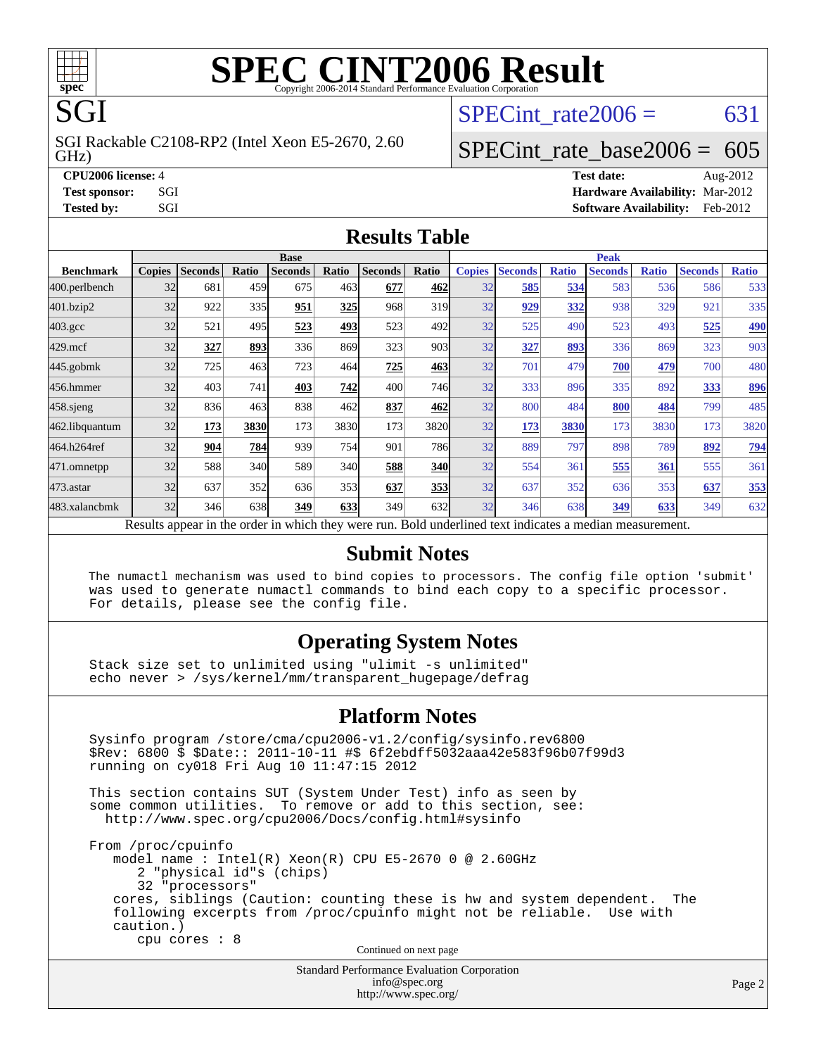

### **[SPEC CINT2006 Result](http://www.spec.org/auto/cpu2006/Docs/result-fields.html#SPECCINT2006Result)** Copyright 2006-2014 Standard Performance Evaluation C

SPECint rate $2006 = 631$ 

#### GHz) SGI Rackable C2108-RP2 (Intel Xeon E5-2670, 2.60

## [SPECint\\_rate\\_base2006 =](http://www.spec.org/auto/cpu2006/Docs/result-fields.html#SPECintratebase2006) 605

**[CPU2006 license:](http://www.spec.org/auto/cpu2006/Docs/result-fields.html#CPU2006license)** 4 **[Test date:](http://www.spec.org/auto/cpu2006/Docs/result-fields.html#Testdate)** Aug-2012 **[Test sponsor:](http://www.spec.org/auto/cpu2006/Docs/result-fields.html#Testsponsor)** SGI **[Hardware Availability:](http://www.spec.org/auto/cpu2006/Docs/result-fields.html#HardwareAvailability)** Mar-2012 **[Tested by:](http://www.spec.org/auto/cpu2006/Docs/result-fields.html#Testedby)** SGI SOFTWARE AVAILABILITY: Feb-2012

#### **[Results Table](http://www.spec.org/auto/cpu2006/Docs/result-fields.html#ResultsTable)**

|                                                                                                          | <b>Base</b>   |                |              |                |            |                |                  | <b>Peak</b>   |                |              |                |              |                |              |
|----------------------------------------------------------------------------------------------------------|---------------|----------------|--------------|----------------|------------|----------------|------------------|---------------|----------------|--------------|----------------|--------------|----------------|--------------|
| <b>Benchmark</b>                                                                                         | <b>Copies</b> | <b>Seconds</b> | <b>Ratio</b> | <b>Seconds</b> | Ratio      | <b>Seconds</b> | Ratio            | <b>Copies</b> | <b>Seconds</b> | <b>Ratio</b> | <b>Seconds</b> | <b>Ratio</b> | <b>Seconds</b> | <b>Ratio</b> |
| 400.perlbench                                                                                            | 32            | 681            | 459          | 675            | 463        | 677            | 462              | 32            | 585            | 534          | 583            | 536          | 586            | 533          |
| 401.bzip2                                                                                                | 32            | 922            | 335          | 951            | 325        | 968            | 319              | 32            | 929            | 332          | 938            | 329          | 921            | 335          |
| $403.\mathrm{gcc}$                                                                                       | 32            | 521            | 495          | 523            | <u>493</u> | 523            | 492l             | 32            | 525            | 490          | 523            | 493          | 525            | <u>490</u>   |
| $429$ .mcf                                                                                               | 32            | 327            | 893          | 336            | 869        | 323            | 903 <sup>I</sup> | 32            | 327            | 893          | 336            | 869          | 323            | 903          |
| $445$ .gobmk                                                                                             | 32            | 725            | 463          | 723            | 464        | 725            | 463              | 32            | 701            | 479          | 700            | 479          | 700            | 480          |
| 456.hmmer                                                                                                | 32            | 403            | 741          | 403            | 742        | 400            | 746I             | 32            | 333            | 896          | 335            | 892          | 333            | 896          |
| $458$ .sjeng                                                                                             | 32            | 836            | 463          | 838            | 462        | 837            | 462              | 32            | 800            | 484          | 800            | 484          | 799            | 485          |
| 462.libquantum                                                                                           | 32            | 173            | 3830         | 173            | 3830       | 173            | 3820             | 32            | 173            | 3830         | 173            | 3830         | 173            | 3820         |
| 464.h264ref                                                                                              | 32            | 904            | 784          | 939            | 754        | 901            | <b>786</b>       | 32            | 889            | 797          | 898            | 789          | 892            | <u>794</u>   |
| 471.omnetpp                                                                                              | 32            | 588            | 340          | 589            | 340        | 588            | <b>340</b>       | 32            | 554            | 361          | 555            | 361          | 555            | 361          |
| $473$ . astar                                                                                            | 32            | 637            | 352          | 636            | 353        | 637            | 353              | 32            | 637            | 352          | 636            | 353          | 637            | 353          |
| 483.xalancbmk                                                                                            | 32            | 346            | 638          | 349            | 633        | 349            | 632l             | 32            | 346            | 638          | 349            | 633          | 349            | 632          |
| Results appear in the order in which they were run. Bold underlined text indicates a median measurement. |               |                |              |                |            |                |                  |               |                |              |                |              |                |              |

#### **[Submit Notes](http://www.spec.org/auto/cpu2006/Docs/result-fields.html#SubmitNotes)**

 The numactl mechanism was used to bind copies to processors. The config file option 'submit' was used to generate numactl commands to bind each copy to a specific processor. For details, please see the config file.

#### **[Operating System Notes](http://www.spec.org/auto/cpu2006/Docs/result-fields.html#OperatingSystemNotes)**

 Stack size set to unlimited using "ulimit -s unlimited" echo never > /sys/kernel/mm/transparent\_hugepage/defrag

#### **[Platform Notes](http://www.spec.org/auto/cpu2006/Docs/result-fields.html#PlatformNotes)**

 Sysinfo program /store/cma/cpu2006-v1.2/config/sysinfo.rev6800 \$Rev: 6800 \$ \$Date:: 2011-10-11 #\$ 6f2ebdff5032aaa42e583f96b07f99d3 running on cy018 Fri Aug 10 11:47:15 2012 This section contains SUT (System Under Test) info as seen by some common utilities. To remove or add to this section, see: <http://www.spec.org/cpu2006/Docs/config.html#sysinfo> From /proc/cpuinfo model name : Intel(R) Xeon(R) CPU E5-2670 0 @ 2.60GHz 2 "physical id"s (chips) 32 "processors" cores, siblings (Caution: counting these is hw and system dependent. The following excerpts from /proc/cpuinfo might not be reliable. Use with caution.) cpu cores : 8 Continued on next page

Standard Performance Evaluation Corporation [info@spec.org](mailto:info@spec.org) <http://www.spec.org/>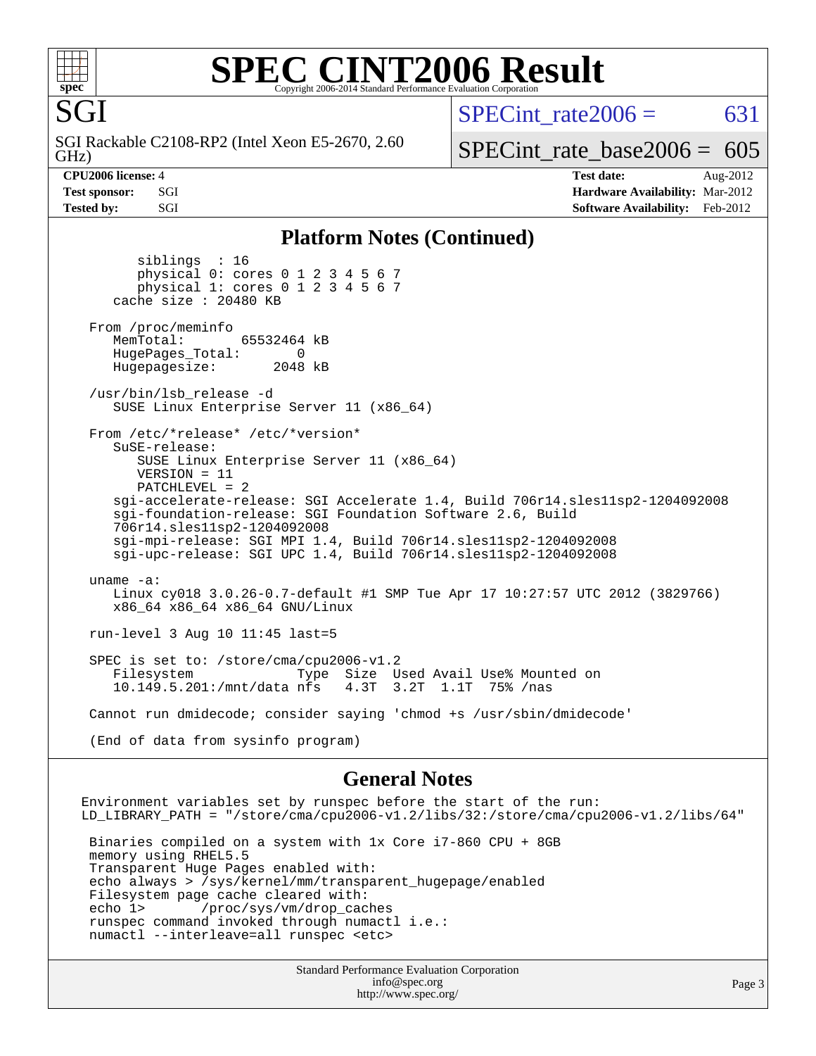

SGI

### **[SPEC CINT2006 Result](http://www.spec.org/auto/cpu2006/Docs/result-fields.html#SPECCINT2006Result)** Copyright 2006-2014 Standard Performance Evaluation C

SPECint rate $2006 = 631$ 

GHz) SGI Rackable C2108-RP2 (Intel Xeon E5-2670, 2.60

[SPECint\\_rate\\_base2006 =](http://www.spec.org/auto/cpu2006/Docs/result-fields.html#SPECintratebase2006)  $605$ 

**[CPU2006 license:](http://www.spec.org/auto/cpu2006/Docs/result-fields.html#CPU2006license)** 4 **[Test date:](http://www.spec.org/auto/cpu2006/Docs/result-fields.html#Testdate)** Aug-2012 **[Test sponsor:](http://www.spec.org/auto/cpu2006/Docs/result-fields.html#Testsponsor)** SGI **[Hardware Availability:](http://www.spec.org/auto/cpu2006/Docs/result-fields.html#HardwareAvailability)** Mar-2012 **[Tested by:](http://www.spec.org/auto/cpu2006/Docs/result-fields.html#Testedby)** SGI SOFTWARE AVAILABILITY: Feb-2012

#### **[Platform Notes \(Continued\)](http://www.spec.org/auto/cpu2006/Docs/result-fields.html#PlatformNotes)**

 siblings : 16 physical 0: cores 0 1 2 3 4 5 6 7 physical 1: cores 0 1 2 3 4 5 6 7 cache size : 20480 KB From /proc/meminfo MemTotal: 65532464 kB HugePages\_Total: 0 Hugepagesize: 2048 kB /usr/bin/lsb\_release -d SUSE Linux Enterprise Server 11 (x86\_64) From /etc/\*release\* /etc/\*version\* SuSE-release: SUSE Linux Enterprise Server 11 (x86\_64) VERSION = 11 PATCHLEVEL = 2 sgi-accelerate-release: SGI Accelerate 1.4, Build 706r14.sles11sp2-1204092008 sgi-foundation-release: SGI Foundation Software 2.6, Build 706r14.sles11sp2-1204092008 sgi-mpi-release: SGI MPI 1.4, Build 706r14.sles11sp2-1204092008 sgi-upc-release: SGI UPC 1.4, Build 706r14.sles11sp2-1204092008 uname -a: Linux cy018 3.0.26-0.7-default #1 SMP Tue Apr 17 10:27:57 UTC 2012 (3829766) x86\_64 x86\_64 x86\_64 GNU/Linux run-level 3 Aug 10 11:45 last=5 SPEC is set to: /store/cma/cpu2006-v1.2 Filesystem Type Size Used Avail Use% Mounted on 10.149.5.201:/mnt/data nfs 4.3T 3.2T 1.1T 75% /nas 10.149.5.201:/mnt/data nfs Cannot run dmidecode; consider saying 'chmod +s /usr/sbin/dmidecode' (End of data from sysinfo program)

#### **[General Notes](http://www.spec.org/auto/cpu2006/Docs/result-fields.html#GeneralNotes)**

Environment variables set by runspec before the start of the run: LD\_LIBRARY\_PATH = "/store/cma/cpu2006-v1.2/libs/32:/store/cma/cpu2006-v1.2/libs/64" Binaries compiled on a system with 1x Core i7-860 CPU + 8GB memory using RHEL5.5 Transparent Huge Pages enabled with: echo always > /sys/kernel/mm/transparent\_hugepage/enabled Filesystem page cache cleared with: echo 1> /proc/sys/vm/drop\_caches runspec command invoked through numactl i.e.: numactl --interleave=all runspec <etc>

Standard Performance Evaluation Corporation [info@spec.org](mailto:info@spec.org) <http://www.spec.org/>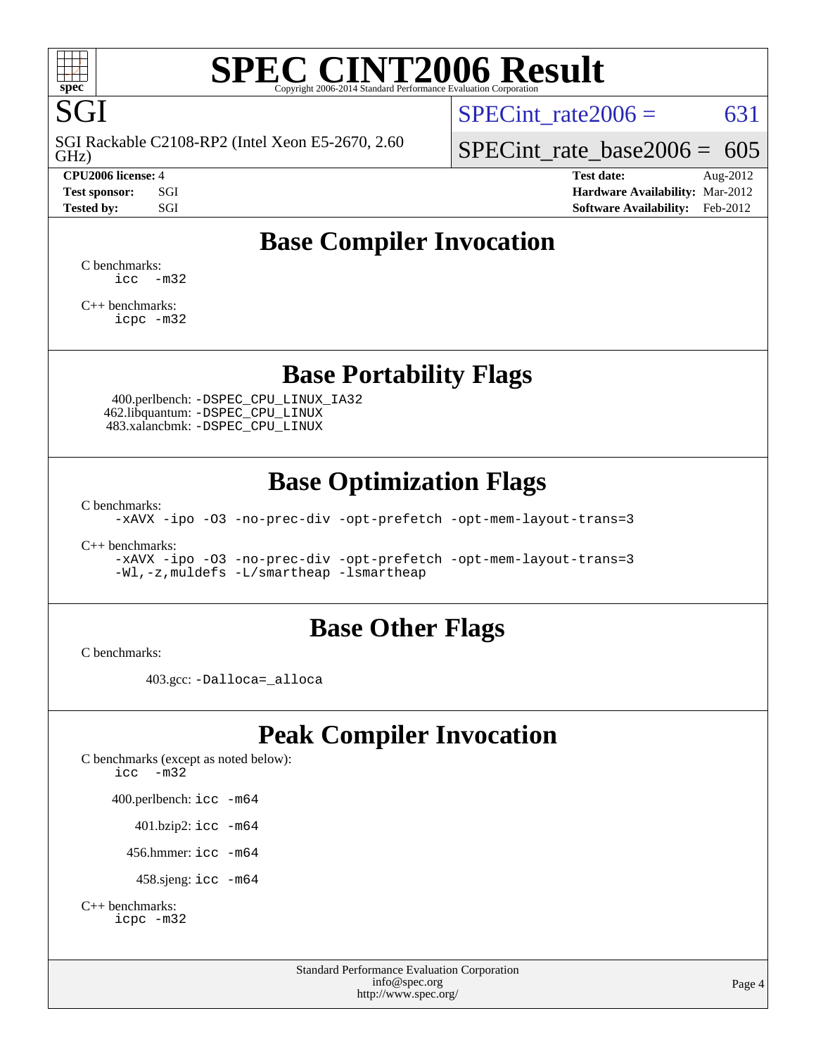

# **[SPEC CINT2006 Result](http://www.spec.org/auto/cpu2006/Docs/result-fields.html#SPECCINT2006Result)**

SGI SGI Rackable C2108-RP2 (Intel Xeon E5-2670, 2.60

SPECint rate $2006 = 631$ 

GHz)

[SPECint\\_rate\\_base2006 =](http://www.spec.org/auto/cpu2006/Docs/result-fields.html#SPECintratebase2006) 605 **[CPU2006 license:](http://www.spec.org/auto/cpu2006/Docs/result-fields.html#CPU2006license)** 4 **[Test date:](http://www.spec.org/auto/cpu2006/Docs/result-fields.html#Testdate)** Aug-2012

**[Test sponsor:](http://www.spec.org/auto/cpu2006/Docs/result-fields.html#Testsponsor)** SGI **[Hardware Availability:](http://www.spec.org/auto/cpu2006/Docs/result-fields.html#HardwareAvailability)** Mar-2012 **[Tested by:](http://www.spec.org/auto/cpu2006/Docs/result-fields.html#Testedby)** SGI SOFTWARE AVAILABILITY: Feb-2012

## **[Base Compiler Invocation](http://www.spec.org/auto/cpu2006/Docs/result-fields.html#BaseCompilerInvocation)**

[C benchmarks](http://www.spec.org/auto/cpu2006/Docs/result-fields.html#Cbenchmarks):  $\text{icc}$   $-\text{m32}$ 

[C++ benchmarks:](http://www.spec.org/auto/cpu2006/Docs/result-fields.html#CXXbenchmarks) [icpc -m32](http://www.spec.org/cpu2006/results/res2012q3/cpu2006-20120812-24181.flags.html#user_CXXbase_intel_icpc_4e5a5ef1a53fd332b3c49e69c3330699)

## **[Base Portability Flags](http://www.spec.org/auto/cpu2006/Docs/result-fields.html#BasePortabilityFlags)**

 400.perlbench: [-DSPEC\\_CPU\\_LINUX\\_IA32](http://www.spec.org/cpu2006/results/res2012q3/cpu2006-20120812-24181.flags.html#b400.perlbench_baseCPORTABILITY_DSPEC_CPU_LINUX_IA32) 462.libquantum: [-DSPEC\\_CPU\\_LINUX](http://www.spec.org/cpu2006/results/res2012q3/cpu2006-20120812-24181.flags.html#b462.libquantum_baseCPORTABILITY_DSPEC_CPU_LINUX) 483.xalancbmk: [-DSPEC\\_CPU\\_LINUX](http://www.spec.org/cpu2006/results/res2012q3/cpu2006-20120812-24181.flags.html#b483.xalancbmk_baseCXXPORTABILITY_DSPEC_CPU_LINUX)

## **[Base Optimization Flags](http://www.spec.org/auto/cpu2006/Docs/result-fields.html#BaseOptimizationFlags)**

[C benchmarks](http://www.spec.org/auto/cpu2006/Docs/result-fields.html#Cbenchmarks):

[-xAVX](http://www.spec.org/cpu2006/results/res2012q3/cpu2006-20120812-24181.flags.html#user_CCbase_f-xAVX) [-ipo](http://www.spec.org/cpu2006/results/res2012q3/cpu2006-20120812-24181.flags.html#user_CCbase_f-ipo) [-O3](http://www.spec.org/cpu2006/results/res2012q3/cpu2006-20120812-24181.flags.html#user_CCbase_f-O3) [-no-prec-div](http://www.spec.org/cpu2006/results/res2012q3/cpu2006-20120812-24181.flags.html#user_CCbase_f-no-prec-div) [-opt-prefetch](http://www.spec.org/cpu2006/results/res2012q3/cpu2006-20120812-24181.flags.html#user_CCbase_f-opt-prefetch) [-opt-mem-layout-trans=3](http://www.spec.org/cpu2006/results/res2012q3/cpu2006-20120812-24181.flags.html#user_CCbase_f-opt-mem-layout-trans_a7b82ad4bd7abf52556d4961a2ae94d5)

[C++ benchmarks:](http://www.spec.org/auto/cpu2006/Docs/result-fields.html#CXXbenchmarks)

[-xAVX](http://www.spec.org/cpu2006/results/res2012q3/cpu2006-20120812-24181.flags.html#user_CXXbase_f-xAVX) [-ipo](http://www.spec.org/cpu2006/results/res2012q3/cpu2006-20120812-24181.flags.html#user_CXXbase_f-ipo) [-O3](http://www.spec.org/cpu2006/results/res2012q3/cpu2006-20120812-24181.flags.html#user_CXXbase_f-O3) [-no-prec-div](http://www.spec.org/cpu2006/results/res2012q3/cpu2006-20120812-24181.flags.html#user_CXXbase_f-no-prec-div) [-opt-prefetch](http://www.spec.org/cpu2006/results/res2012q3/cpu2006-20120812-24181.flags.html#user_CXXbase_f-opt-prefetch) [-opt-mem-layout-trans=3](http://www.spec.org/cpu2006/results/res2012q3/cpu2006-20120812-24181.flags.html#user_CXXbase_f-opt-mem-layout-trans_a7b82ad4bd7abf52556d4961a2ae94d5) [-Wl,-z,muldefs](http://www.spec.org/cpu2006/results/res2012q3/cpu2006-20120812-24181.flags.html#user_CXXbase_link_force_multiple1_74079c344b956b9658436fd1b6dd3a8a) [-L/smartheap -lsmartheap](http://www.spec.org/cpu2006/results/res2012q3/cpu2006-20120812-24181.flags.html#user_CXXbase_SmartHeap_7c9e394a5779e1a7fec7c221e123830c)

## **[Base Other Flags](http://www.spec.org/auto/cpu2006/Docs/result-fields.html#BaseOtherFlags)**

[C benchmarks](http://www.spec.org/auto/cpu2006/Docs/result-fields.html#Cbenchmarks):

403.gcc: [-Dalloca=\\_alloca](http://www.spec.org/cpu2006/results/res2012q3/cpu2006-20120812-24181.flags.html#b403.gcc_baseEXTRA_CFLAGS_Dalloca_be3056838c12de2578596ca5467af7f3)

## **[Peak Compiler Invocation](http://www.spec.org/auto/cpu2006/Docs/result-fields.html#PeakCompilerInvocation)**

[C benchmarks \(except as noted below\)](http://www.spec.org/auto/cpu2006/Docs/result-fields.html#Cbenchmarksexceptasnotedbelow): [icc -m32](http://www.spec.org/cpu2006/results/res2012q3/cpu2006-20120812-24181.flags.html#user_CCpeak_intel_icc_5ff4a39e364c98233615fdd38438c6f2) 400.perlbench: [icc -m64](http://www.spec.org/cpu2006/results/res2012q3/cpu2006-20120812-24181.flags.html#user_peakCCLD400_perlbench_intel_icc_64bit_bda6cc9af1fdbb0edc3795bac97ada53) 401.bzip2: [icc -m64](http://www.spec.org/cpu2006/results/res2012q3/cpu2006-20120812-24181.flags.html#user_peakCCLD401_bzip2_intel_icc_64bit_bda6cc9af1fdbb0edc3795bac97ada53)

456.hmmer: [icc -m64](http://www.spec.org/cpu2006/results/res2012q3/cpu2006-20120812-24181.flags.html#user_peakCCLD456_hmmer_intel_icc_64bit_bda6cc9af1fdbb0edc3795bac97ada53)

458.sjeng: [icc -m64](http://www.spec.org/cpu2006/results/res2012q3/cpu2006-20120812-24181.flags.html#user_peakCCLD458_sjeng_intel_icc_64bit_bda6cc9af1fdbb0edc3795bac97ada53)

```
C++ benchmarks: 
    icpc -m32
```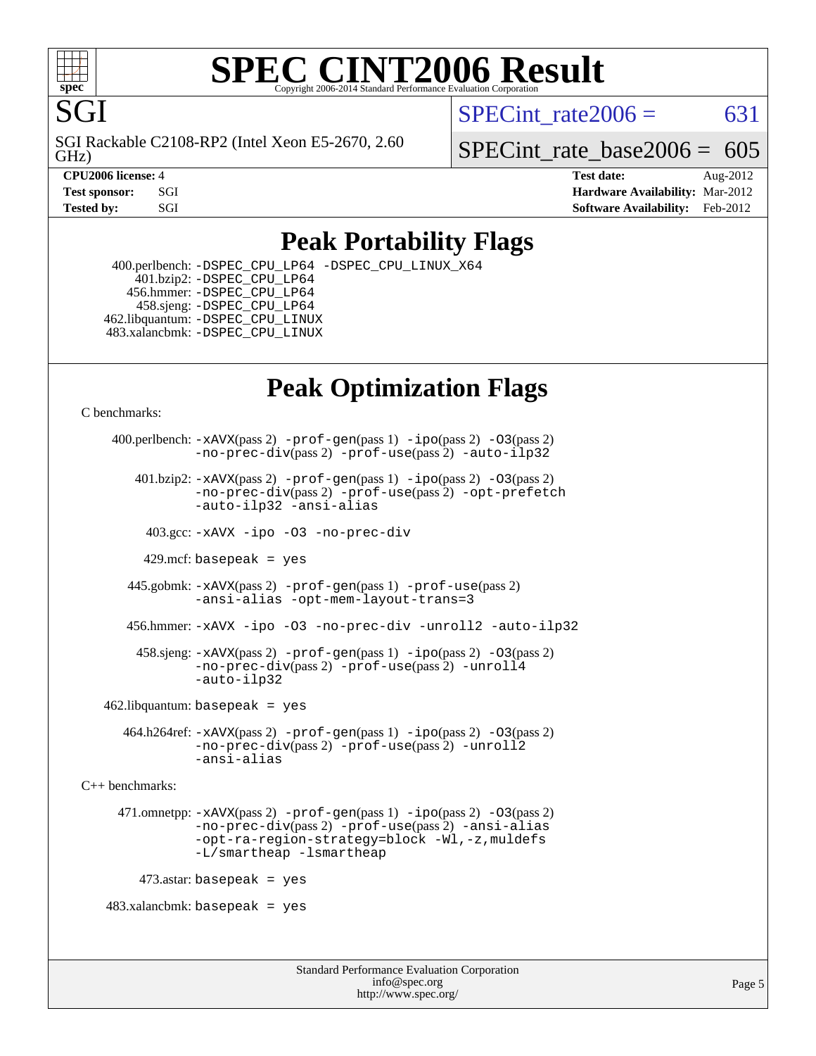

#### **[SPEC CINT2006 Result](http://www.spec.org/auto/cpu2006/Docs/result-fields.html#SPECCINT2006Result)** Copyright 2006-2014 Standard Performance Evaluation C

SPECint rate $2006 = 631$ 

GHz) SGI Rackable C2108-RP2 (Intel Xeon E5-2670, 2.60 SPECint rate base2006 =  $605$ 

**[CPU2006 license:](http://www.spec.org/auto/cpu2006/Docs/result-fields.html#CPU2006license)** 4 **[Test date:](http://www.spec.org/auto/cpu2006/Docs/result-fields.html#Testdate)** Aug-2012

**[Test sponsor:](http://www.spec.org/auto/cpu2006/Docs/result-fields.html#Testsponsor)** SGI **[Hardware Availability:](http://www.spec.org/auto/cpu2006/Docs/result-fields.html#HardwareAvailability)** Mar-2012 **[Tested by:](http://www.spec.org/auto/cpu2006/Docs/result-fields.html#Testedby)** SGI SOFTWARE AVAILABILITY: Feb-2012

## **[Peak Portability Flags](http://www.spec.org/auto/cpu2006/Docs/result-fields.html#PeakPortabilityFlags)**

 400.perlbench: [-DSPEC\\_CPU\\_LP64](http://www.spec.org/cpu2006/results/res2012q3/cpu2006-20120812-24181.flags.html#b400.perlbench_peakCPORTABILITY_DSPEC_CPU_LP64) [-DSPEC\\_CPU\\_LINUX\\_X64](http://www.spec.org/cpu2006/results/res2012q3/cpu2006-20120812-24181.flags.html#b400.perlbench_peakCPORTABILITY_DSPEC_CPU_LINUX_X64) 401.bzip2: [-DSPEC\\_CPU\\_LP64](http://www.spec.org/cpu2006/results/res2012q3/cpu2006-20120812-24181.flags.html#suite_peakCPORTABILITY401_bzip2_DSPEC_CPU_LP64) 456.hmmer: [-DSPEC\\_CPU\\_LP64](http://www.spec.org/cpu2006/results/res2012q3/cpu2006-20120812-24181.flags.html#suite_peakCPORTABILITY456_hmmer_DSPEC_CPU_LP64) 458.sjeng: [-DSPEC\\_CPU\\_LP64](http://www.spec.org/cpu2006/results/res2012q3/cpu2006-20120812-24181.flags.html#suite_peakCPORTABILITY458_sjeng_DSPEC_CPU_LP64) 462.libquantum: [-DSPEC\\_CPU\\_LINUX](http://www.spec.org/cpu2006/results/res2012q3/cpu2006-20120812-24181.flags.html#b462.libquantum_peakCPORTABILITY_DSPEC_CPU_LINUX) 483.xalancbmk: [-DSPEC\\_CPU\\_LINUX](http://www.spec.org/cpu2006/results/res2012q3/cpu2006-20120812-24181.flags.html#b483.xalancbmk_peakCXXPORTABILITY_DSPEC_CPU_LINUX)

## **[Peak Optimization Flags](http://www.spec.org/auto/cpu2006/Docs/result-fields.html#PeakOptimizationFlags)**

[C benchmarks](http://www.spec.org/auto/cpu2006/Docs/result-fields.html#Cbenchmarks):

```
 400.perlbench: -xAVX(pass 2) -prof-gen(pass 1) -ipo(pass 2) -O3(pass 2)
                -no-prec-div(pass 2) -prof-use(pass 2) -auto-ilp32
        401.bzip2: -xAVX(pass 2) -prof-gen(pass 1) -ipo(pass 2) -O3(pass 2)
                -no-prec-div(pass 2) -prof-use(pass 2) -opt-prefetch
                -auto-ilp32 -ansi-alias
          403.gcc: -xAVX -ipo -O3 -no-prec-div
         429.mcf: basepeak = yes
       445.gobmk: -xAVX(pass 2) -prof-gen(pass 1) -prof-use(pass 2)
                -ansi-alias -opt-mem-layout-trans=3
       456.hmmer: -xAVX -ipo -O3 -no-prec-div -unroll2 -auto-ilp32
         458.sjeng: -xAVX(pass 2) -prof-gen(pass 1) -ipo(pass 2) -O3(pass 2)
                -no-prec-div(pass 2) -prof-use(pass 2) -unroll4
                -auto-ilp32
   462.libquantum: basepeak = yes
       464.h264ref: -xAVX(pass 2) -prof-gen(pass 1) -ipo(pass 2) -O3(pass 2)
                -no-prec-div(pass 2) -prof-use(pass 2) -unroll2
                -ansi-alias
C++ benchmarks: 
      471.omnetpp: -xAVX(pass 2) -prof-gen(pass 1) -ipo(pass 2) -O3(pass 2)
                -no-prec-div(pass 2) -prof-use(pass 2) -ansi-alias
                -opt-ra-region-strategy=block -Wl,-z,muldefs
                -L/smartheap -lsmartheap
        473.astar: basepeak = yes
   483.xalanchmk: basepeak = yes
```